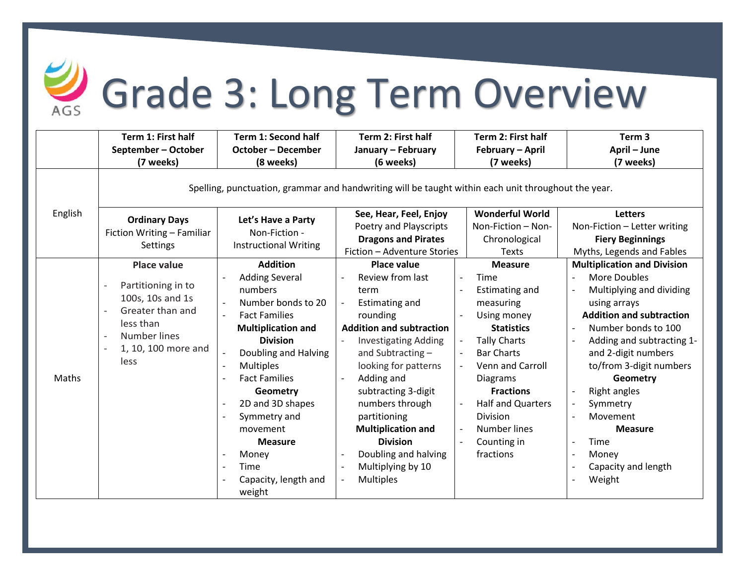

## Grade 3: Long Term Overview

|         | Term 1: First half                                                                                                                                                                    | <b>Term 1: Second half</b>                                                                                                                                                                                                                                                                                                                            | Term 2: First half                                                                                                                                                                                                                                                                                                                                                                                                                                                                                                       | Term 2: First half                                                                                                                                                                                                                                                                                           | Term <sub>3</sub>                                                                                                                                                                                                                                                                                                                                                                 |  |  |  |  |
|---------|---------------------------------------------------------------------------------------------------------------------------------------------------------------------------------------|-------------------------------------------------------------------------------------------------------------------------------------------------------------------------------------------------------------------------------------------------------------------------------------------------------------------------------------------------------|--------------------------------------------------------------------------------------------------------------------------------------------------------------------------------------------------------------------------------------------------------------------------------------------------------------------------------------------------------------------------------------------------------------------------------------------------------------------------------------------------------------------------|--------------------------------------------------------------------------------------------------------------------------------------------------------------------------------------------------------------------------------------------------------------------------------------------------------------|-----------------------------------------------------------------------------------------------------------------------------------------------------------------------------------------------------------------------------------------------------------------------------------------------------------------------------------------------------------------------------------|--|--|--|--|
|         | September - October                                                                                                                                                                   | <b>October - December</b>                                                                                                                                                                                                                                                                                                                             | January - February                                                                                                                                                                                                                                                                                                                                                                                                                                                                                                       | February - April                                                                                                                                                                                                                                                                                             | April - June                                                                                                                                                                                                                                                                                                                                                                      |  |  |  |  |
|         | (7 weeks)                                                                                                                                                                             | (8 weeks)                                                                                                                                                                                                                                                                                                                                             | (6 weeks)                                                                                                                                                                                                                                                                                                                                                                                                                                                                                                                | (7 weeks)                                                                                                                                                                                                                                                                                                    | (7 weeks)                                                                                                                                                                                                                                                                                                                                                                         |  |  |  |  |
|         | Spelling, punctuation, grammar and handwriting will be taught within each unit throughout the year.                                                                                   |                                                                                                                                                                                                                                                                                                                                                       |                                                                                                                                                                                                                                                                                                                                                                                                                                                                                                                          |                                                                                                                                                                                                                                                                                                              |                                                                                                                                                                                                                                                                                                                                                                                   |  |  |  |  |
| English | <b>Ordinary Days</b><br>Fiction Writing - Familiar<br>Settings                                                                                                                        | Let's Have a Party<br>Non-Fiction -<br><b>Instructional Writing</b>                                                                                                                                                                                                                                                                                   | See, Hear, Feel, Enjoy                                                                                                                                                                                                                                                                                                                                                                                                                                                                                                   | <b>Wonderful World</b>                                                                                                                                                                                                                                                                                       | <b>Letters</b>                                                                                                                                                                                                                                                                                                                                                                    |  |  |  |  |
|         |                                                                                                                                                                                       |                                                                                                                                                                                                                                                                                                                                                       | Poetry and Playscripts                                                                                                                                                                                                                                                                                                                                                                                                                                                                                                   | Non-Fiction - Non-                                                                                                                                                                                                                                                                                           | Non-Fiction - Letter writing                                                                                                                                                                                                                                                                                                                                                      |  |  |  |  |
|         |                                                                                                                                                                                       |                                                                                                                                                                                                                                                                                                                                                       | <b>Dragons and Pirates</b>                                                                                                                                                                                                                                                                                                                                                                                                                                                                                               | Chronological                                                                                                                                                                                                                                                                                                | <b>Fiery Beginnings</b>                                                                                                                                                                                                                                                                                                                                                           |  |  |  |  |
|         |                                                                                                                                                                                       |                                                                                                                                                                                                                                                                                                                                                       | Fiction - Adventure Stories                                                                                                                                                                                                                                                                                                                                                                                                                                                                                              | Texts                                                                                                                                                                                                                                                                                                        | Myths, Legends and Fables                                                                                                                                                                                                                                                                                                                                                         |  |  |  |  |
|         | <b>Place value</b>                                                                                                                                                                    | <b>Addition</b>                                                                                                                                                                                                                                                                                                                                       | <b>Place value</b>                                                                                                                                                                                                                                                                                                                                                                                                                                                                                                       | <b>Measure</b>                                                                                                                                                                                                                                                                                               | <b>Multiplication and Division</b>                                                                                                                                                                                                                                                                                                                                                |  |  |  |  |
| Maths   | Partitioning in to<br>100s, 10s and 1s<br>Greater than and<br>$\overline{\phantom{0}}$<br>less than<br><b>Number lines</b><br>$\overline{\phantom{a}}$<br>1, 10, 100 more and<br>less | <b>Adding Several</b><br>numbers<br>Number bonds to 20<br><b>Fact Families</b><br><b>Multiplication and</b><br><b>Division</b><br>Doubling and Halving<br><b>Multiples</b><br><b>Fact Families</b><br>Geometry<br>2D and 3D shapes<br>$\overline{\phantom{0}}$<br>Symmetry and<br>movement<br><b>Measure</b><br>Money<br>Time<br>Capacity, length and | Review from last<br>term<br><b>Estimating and</b><br>$\overline{\phantom{a}}$<br>rounding<br><b>Addition and subtraction</b><br><b>Investigating Adding</b><br>$\overline{\phantom{a}}$<br>and Subtracting-<br>looking for patterns<br>Adding and<br>$\overline{a}$<br>subtracting 3-digit<br>numbers through<br>partitioning<br><b>Multiplication and</b><br><b>Division</b><br>Doubling and halving<br>$\overline{a}$<br>Multiplying by 10<br>$\overline{\phantom{a}}$<br><b>Multiples</b><br>$\overline{\phantom{a}}$ | Time<br>$\overline{\phantom{a}}$<br><b>Estimating and</b><br>measuring<br>Using money<br><b>Statistics</b><br><b>Tally Charts</b><br><b>Bar Charts</b><br>Venn and Carroll<br><b>Diagrams</b><br><b>Fractions</b><br><b>Half and Quarters</b><br><b>Division</b><br>Number lines<br>Counting in<br>fractions | More Doubles<br>Multiplying and dividing<br>$\overline{\phantom{a}}$<br>using arrays<br><b>Addition and subtraction</b><br>Number bonds to 100<br>Adding and subtracting 1-<br>and 2-digit numbers<br>to/from 3-digit numbers<br>Geometry<br>Right angles<br>Symmetry<br>Movement<br><b>Measure</b><br>Time<br>Money<br>$\overline{\phantom{a}}$<br>Capacity and length<br>Weight |  |  |  |  |